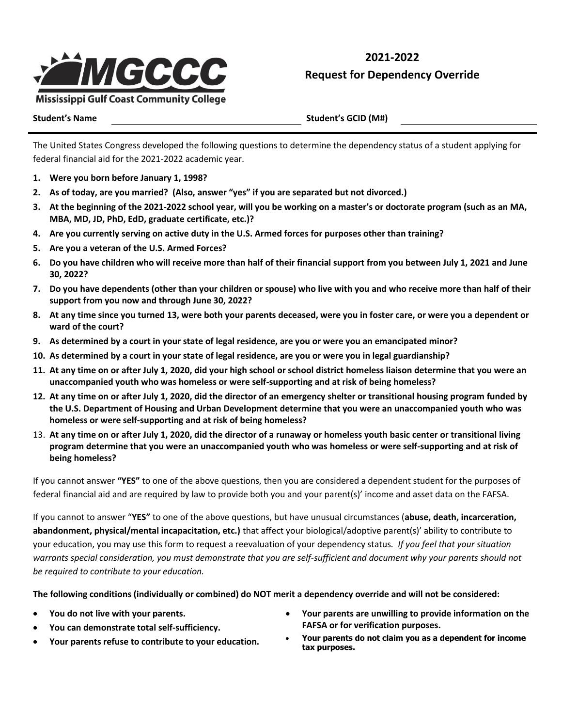

**2021-2022 Request for Dependency Override**

**Student's Name Student's GCID (M#)**

The United States Congress developed the following questions to determine the dependency status of a student applying for federal financial aid for the 2021-2022 academic year.

- **1. Were you born before January 1, 1998?**
- **2. As of today, are you married? (Also, answer "yes" if you are separated but not divorced.)**
- **3. At the beginning of the 2021-2022 school year, will you be working on a master's or doctorate program (such as an MA, MBA, MD, JD, PhD, EdD, graduate certificate, etc.)?**
- **4. Are you currently serving on active duty in the U.S. Armed forces for purposes other than training?**
- **5. Are you a veteran of the U.S. Armed Forces?**
- **6. Do you have children who will receive more than half of their financial support from you between July 1, 2021 and June 30, 2022?**
- **7. Do you have dependents (other than your children or spouse) who live with you and who receive more than half of their support from you now and through June 30, 2022?**
- **8. At any time since you turned 13, were both your parents deceased, were you in foster care, or were you a dependent or ward of the court?**
- **9. As determined by a court in your state of legal residence, are you or were you an emancipated minor?**
- **10. As determined by a court in your state of legal residence, are you or were you in legal guardianship?**
- **11. At any time on or after July 1, 2020, did your high school or school district homeless liaison determine that you were an unaccompanied youth who was homeless or were self-supporting and at risk of being homeless?**
- **12. At any time on or after July 1, 2020, did the director of an emergency shelter or transitional housing program funded by the U.S. Department of Housing and Urban Development determine that you were an unaccompanied youth who was homeless or were self-supporting and at risk of being homeless?**
- 13. **At any time on or after July 1, 2020, did the director of a runaway or homeless youth basic center or transitional living program determine that you were an unaccompanied youth who was homeless or were self-supporting and at risk of being homeless?**

If you cannot answer **"YES"** to one of the above questions, then you are considered a dependent student for the purposes of federal financial aid and are required by law to provide both you and your parent(s)' income and asset data on the FAFSA.

If you cannot to answer "**YES"** to one of the above questions, but have unusual circumstances (**abuse, death, incarceration, abandonment, physical/mental incapacitation, etc.)** that affect your biological/adoptive parent(s)' ability to contribute to your education, you may use this form to request a reevaluation of your dependency status*. If you feel that your situation*  warrants special consideration, you must demonstrate that you are self-sufficient and document why your parents should not *be required to contribute to your education.*

**The following conditions (individually or combined) do NOT merit a dependency override and will not be considered:**

- **You do not live with your parents.**
- **You can demonstrate total self-sufficiency.**
- **Your parents refuse to contribute to your education.**
- **Your parents are unwilling to provide information on the FAFSA or for verification purposes.**
- **Your parents do not claim you as a dependent for income tax purposes.**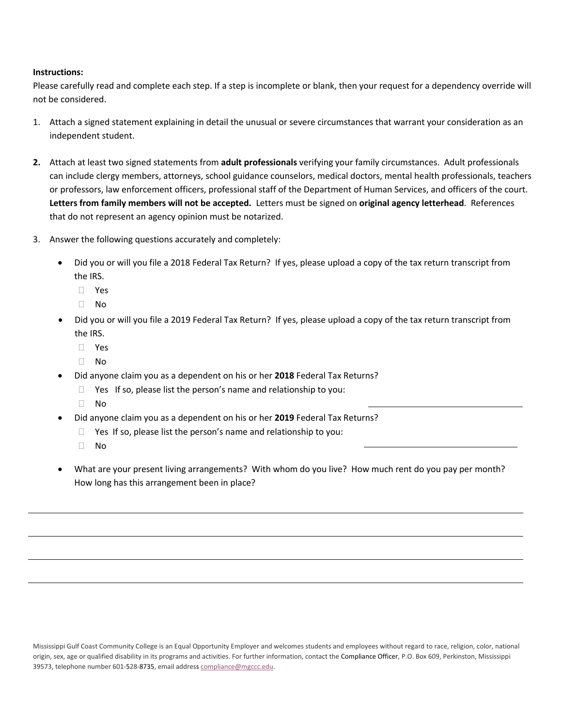## **Instructions:**

Please carefully read and complete each step. If a step is incomplete or blank, then your request for a dependency override will not be considered.

- 1. Attach a signed statement explaining in detail the unusual or severe circumstances that warrant your consideration as an independent student.
- **2.** Attach at least two signed statements from **adult professionals** verifying your family circumstances. Adult professionals can include clergy members, attorneys, school guidance counselors, medical doctors, mental health professionals, teachers or professors, law enforcement officers, professional staff of the Department of Human Services, and officers of the court. **Letters from family members will not be accepted.** Letters must be signed on **original agency letterhead**. References that do not represent an agency opinion must be notarized.
- 3. Answer the following questions accurately and completely:
	- Did you or will you file a 2018 Federal Tax Return? If yes, please upload a copy of the tax return transcript from the IRS.
		- Yes
		- $\Box$  No
	- Did you or will you file a 2019 Federal Tax Return? If yes, please upload a copy of the tax return transcript from the IRS.
		- Yes
		- $\Box$  No
	- Did anyone claim you as a dependent on his or her **2018** Federal Tax Returns?
		- $\Box$  Yes If so, please list the person's name and relationship to you:
		- No
	- Did anyone claim you as a dependent on his or her **2019** Federal Tax Returns?
		- $\Box$  Yes If so, please list the person's name and relationship to you:
		- $\Box$  No
	- What are your present living arrangements? With whom do you live? How much rent do you pay per month? How long has this arrangement been in place?

Mississippi Gulf Coast Community College is an Equal Opportunity Employer and welcomes students and employees without regard to race, religion, color, national origin, sex, age or qualified disability in its programs and activities. For further information, contact the Compliance Officer, P.O. Box 609, Perkinston, Mississippi 39573, telephone number 601-528-8735, email address [compliance@mgccc.edu.](mailto:compliance@mgccc.edu)